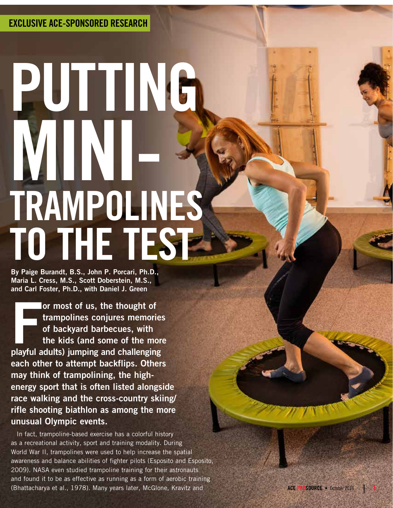# PUTTING MINI-TRAMPOLINES TO THE TEST

By Paige Burandt, B.S., John P. Porcari, Ph.D., Maria L. Cress, M.S., Scott Doberstein, M.S., and Carl Foster, Ph.D., with Daniel J. Green

For most of us, the thought of<br>trampolines conjures memories<br>of backyard barbecues, with<br>the kids (and some of the more<br>playful adults) jumping and challenging or most of us, the thought of trampolines conjures memories of backyard barbecues, with the kids (and some of the more each other to attempt backflips. Others may think of trampolining, the highenergy sport that is often listed alongside race walking and the cross-country skiing/ rifle shooting biathlon as among the more unusual Olympic events.

In fact, trampoline-based exercise has a colorful history as a recreational activity, sport and training modality. During World War II, trampolines were used to help increase the spatial awareness and balance abilities of fighter pilots (Esposito and Esposito, 2009). NASA even studied trampoline training for their astronauts and found it to be as effective as running as a form of aerobic training (Bhattacharya et al., 1978). Many years later, McGlone, Kravitz and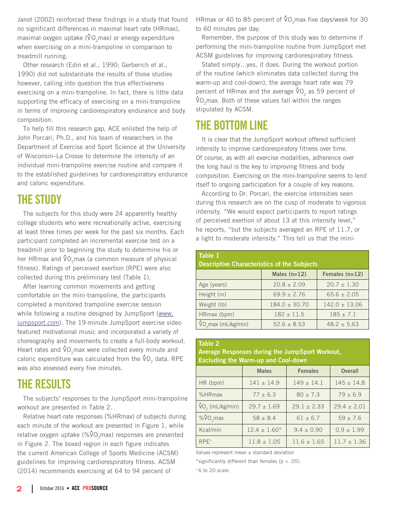Janot (2002) reinforced these findings in a study that found no significant differences in maximal heart rate (HRmax), maximal oxygen uptake ( $\mathring{\text{V}}\text{O}_2$ max) or energy expenditure when exercising on a mini-trampoline in comparison to treadmill running.

Other research (Edin et al., 1990; Gerberich et al., 1990) did not substantiate the results of those studies however, calling into question the true effectiveness exercising on a mini-trampoline. In fact, there is little data supporting the efficacy of exercising on a mini-trampoline in terms of improving cardiorespiratory endurance and body composition.

To help fill this research gap, ACE enlisted the help of John Porcari, Ph.D., and his team of researchers in the Department of Exercise and Sport Science at the University of Wisconsin–La Crosse to determine the intensity of an individual mini-trampoline exercise routine and compare it to the established guidelines for cardiorespiratory endurance and caloric expenditure.

# THE STUDY

The subjects for this study were 24 apparently healthy college students who were recreationally active, exercising at least three times per week for the past six months. Each participant completed an incremental exercise test on a treadmill prior to beginning the study to determine his or her HRmax and  $\mathring{V} \mathrm{O}_2$ max (a common measure of physical fitness). Ratings of perceived exertion (RPE) were also collected during this preliminary test (Table 1).

After learning common movements and getting comfortable on the mini-trampoline, the participants completed a monitored trampoline exercise session while following a routine designed by JumpSport (www. jumpsport.com). The 19-minute JumpSport exercise video featured motivational music and incorporated a variety of choreography and movements to create a full-body workout. Heart rates and  $\mathring{V}O_2$ max were collected every minute and caloric expenditure was calculated from the  $\mathring{v}O_2$  data. RPE was also assessed every five minutes.

# THE RESULTS

The subjects' responses to the JumpSport mini-trampoline workout are presented in Table 2.

Relative heart-rate responses (%HRmax) of subjects during each minute of the workout are presented in Figure 1, while relative oxygen uptake (% $\mathring{\text{V}}\text{O}_2$ max) responses are presented in Figure 2. The boxed region in each figure indicates the current American College of Sports Medicine (ACSM) guidelines for improving cardiorespiratory fitness. ACSM (2014) recommends exercising at 64 to 94 percent of

HRmax or 40 to 85 percent of  $\mathring{V}O_2$ max five days/week for 30 to 60 minutes per day.

Remember, the purpose of this study was to determine if performing the mini-trampoline routine from JumpSport met ACSM guidelines for improving cardiorespiratory fitness.

Stated simply…yes, it does. During the workout portion of the routine (which eliminates data collected during the warm-up and cool-down), the average heart rate was 79 percent of HRmax and the average  $\mathring{\text{V}}\text{O}_2$  as 59 percent of  $\rm{VO_2}$ max. Both of these values fall within the ranges stipulated by ACSM.

# THE BOTTOM LINE

It is clear that the JumpSport workout offered sufficient intensity to improve cardiorespiratory fitness over time. Of course, as with all exercise modalities, adherence over the long haul is the key to improving fitness and body composition. Exercising on the mini-trampoline seems to lend itself to ongoing participation for a couple of key reasons.

According to Dr. Porcari, the exercise intensities seen during this research are on the cusp of moderate to vigorous intensity. "We would expect participants to report ratings of perceived exertion of about 13 at this intensity level," he reports, "but the subjects averaged an RPE of 11.7, or a light to moderate intensity." This tell us that the mini-

| Table 1<br><b>Descriptive Characteristics of the Subjects</b> |                                    |                   |  |  |
|---------------------------------------------------------------|------------------------------------|-------------------|--|--|
|                                                               | Males $(n=12)$                     | Females $(n=12)$  |  |  |
| Age (years)                                                   | $20.8 \pm 2.09$                    | $20.7 \pm 1.30$   |  |  |
| Height (in)                                                   | $69.9 \pm 2.76$<br>$65.6 \pm 2.05$ |                   |  |  |
| Weight (lb)                                                   | $184.0 \pm 30.70$                  | $142.0 \pm 13.06$ |  |  |
| HRmax (bpm)                                                   | $185 \pm 7.1$<br>$182 \pm 11.5$    |                   |  |  |
| $VO2$ max (mL/kg/min)                                         | $52.6 \pm 8.53$                    | $48.2 \pm 5.63$   |  |  |

#### Table 2

#### Average Responses during the JumpSport Workout, Excluding the Warm-up and Cool-down

|                              | <b>Males</b>     | <b>Females</b>  | <b>Overall</b>  |
|------------------------------|------------------|-----------------|-----------------|
| HR (bpm)                     | $141 \pm 14.9$   | $149 \pm 14.1$  | $145 \pm 14.8$  |
| $%$ HRmax                    | $77 \pm 6.3$     | $80 \pm 7.3$    | $79 \pm 6.9$    |
| $\rm \dot{VO}_2$ (mL/kg/min) | $29.7 \pm 1.69$  | $29.1 \pm 2.33$ | $29.4 \pm 2.01$ |
| %VO <sub>2</sub> max         | $58 \pm 8.4$     | $61 \pm 6.7$    | $59 \pm 7.6$    |
| Kcal/min                     | $12.4 \pm 1.60*$ | $9.4 \pm 0.90$  | $0.9 \pm 1.99$  |
| $RPF^+$                      | $11.8 \pm 1.05$  | $11.6 \pm 1.65$ | $11.7 \pm 1.36$ |

Values represent mean  $\pm$  standard deviation

\*significantly different than females ( $p < .05$ ).

† 6 to 20 scale